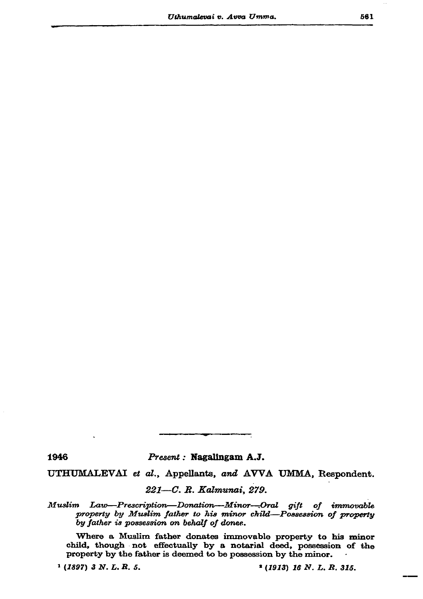1946

Present : Nagalingam A.J.

UTHUMALEVAI et al., Appellants, and AVVA UMMA, Respondent.

221-C. R. Kalmunai, 279.

Law-Prescription-Donation-Minor-Oral gift of immovable  $M$ uslim property by Muslim father to his minor child-Possession of property by father is possession on behalf of donee.

Where a Muslim father donates immovable property to his minor child, though not effectually by a notarial deed, possession of the property by the father is deemed to be possession by the minor.

 $1(1897)$  3 N. L. R. 5.

 $(1913)$  16 N. L. R. 315.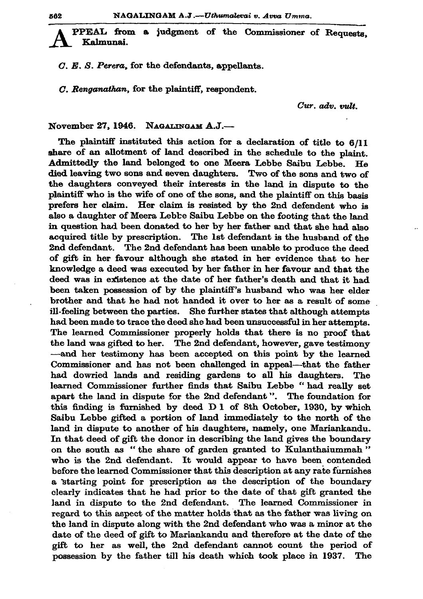PPEAL from a judgment of the Commissioner of Requests. Kalmunai.

 $C. E. S. Perera.$  for the defendants, appellants.

C. Renganathan, for the plaintiff, respondent.

Cur. adv. vult.

November 27, 1946. NAGALINGAM A.J.-

The plaintiff instituted this action for a declaration of title to 6/11 share of an allotment of land described in the schedule to the plaint. Admittedly the land belonged to one Meera Lebbe Saibu Lebbe. He died leaving two sons and seven daughters. Two of the sons and two of the daughters conveyed their interests in the land in dispute to the plaintiff who is the wife of one of the sons, and the plaintiff on this basis prefers her claim. Her claim is resisted by the 2nd defendent who is also a daughter of Meera Lebbe Saibu Lebbe on the footing that the land in question had been donated to her by her father and that she had also acquired title by prescription. The 1st defendant is the husband of the 2nd defendant. The 2nd defendant has been unable to produce the deed of gift in her favour although she stated in her evidence that to her knowledge a deed was executed by her father in her favour and that the deed was in existence at the date of her father's death and that it had been taken possession of by the plaintiff's husband who was her elder brother and that he had not handed it over to her as a result of some ill-feeling between the parties. She further states that although attempts had been made to trace the deed she had been unsuccessful in her attempts. The learned Commissioner properly holds that there is no proof that the land was gifted to her. The 2nd defendant, however, gave testimony —and her testimony has been accepted on this point by the learned Commissioner and has not been challenged in appeal—that the father had dowried lands and residing gardens to all his daughters. The learned Commissioner further finds that Saibu Lebbe "had really set apart the land in dispute for the 2nd defendant". The foundation for this finding is furnished by deed D 1 of 8th October, 1930, by which Saibu Lebbe gifted a portion of land immediately to the north of the land in dispute to another of his daughters, namely, one Mariankandu. In that deed of gift the donor in describing the land gives the boundary on the south as "the share of garden granted to Kulanthaiummah" who is the 2nd defendant. It would appear to have been contended before the learned Commissioner that this description at any rate furnishes a starting point for prescription as the description of the boundary clearly indicates that he had prior to the date of that gift granted the land in dispute to the 2nd defendant. The learned Commissioner in regard to this aspect of the matter holds that as the father was living on the land in dispute along with the 2nd defendant who was a minor at the date of the deed of gift to Mariankandu and therefore at the date of the gift to her as well, the 2nd defendant cannot count the period of possession by the father till his death which took place in 1937. The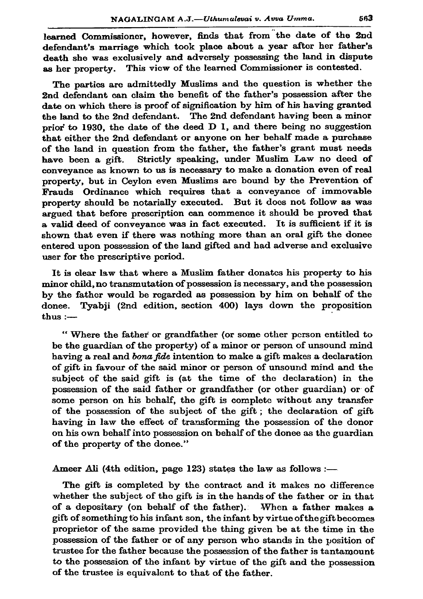learned Commissioner, however, finds that from the date of the 2nd defendant's marriage which took place about a year after her father's death she was exclusively and adversely possessing the land in dispute This view of the learned Commissioner is contested. as her property.

The parties are admittedly Muslims and the question is whether the 2nd defendant can claim the benefit of the father's possession after the date on which there is proof of signification by him of his having granted the land to the 2nd defendant. The 2nd defendant having been a minor prior to 1930, the date of the deed D 1, and there being no suggestion that either the 2nd defendant or anyone on her behalf made a purchase of the land in question from the father, the father's grant must needs Strictly speaking, under Muslim Law no deed of have been a gift. conveyance as known to us is necessary to make a donation even of real property, but in Ceylon even Muslims are bound by the Prevention of Frauds Ordinance which requires that a conveyance of immovable property should be notarially executed. But it does not follow as was argued that before prescription can commence it should be proved that a valid deed of convevance was in fact executed. It is sufficient if it is shown that even if there was nothing more than an oral gift the donee entered upon possession of the land gifted and had adverse and exclusive user for the prescriptive period.

It is clear law that where a Muslim father donates his property to his minor child, no transmutation of possession is necessary, and the possession by the father would be regarded as possession by him on behalf of the donee. Tyabii (2nd edition, section 400) lays down the proposition thus  $:$   $-$ 

"Where the father or grandfather (or some other person entitled to be the guardian of the property) of a minor or person of unsound mind having a real and bona fide intention to make a gift makes a declaration of gift in favour of the said minor or person of unsound mind and the subject of the said gift is (at the time of the declaration) in the possession of the said father or grandfather (or other guardian) or of some person on his behalf, the gift is complete without any transfer of the possession of the subject of the gift; the declaration of gift having in law the effect of transforming the possession of the donor on his own behalf into possession on behalf of the donee as the guardian of the property of the donee."

Ameer Ali (4th edition, page 123) states the law as follows :-

The gift is completed by the contract and it makes no difference whether the subject of the gift is in the hands of the father or in that of a depositary (on behalf of the father). When a father makes a gift of something to his infant son, the infant by virtue of the gift becomes proprietor of the same provided the thing given be at the time in the possession of the father or of any person who stands in the position of trustee for the father because the possession of the father is tantamount to the possession of the infant by virtue of the gift and the possession of the trustee is equivalent to that of the father.